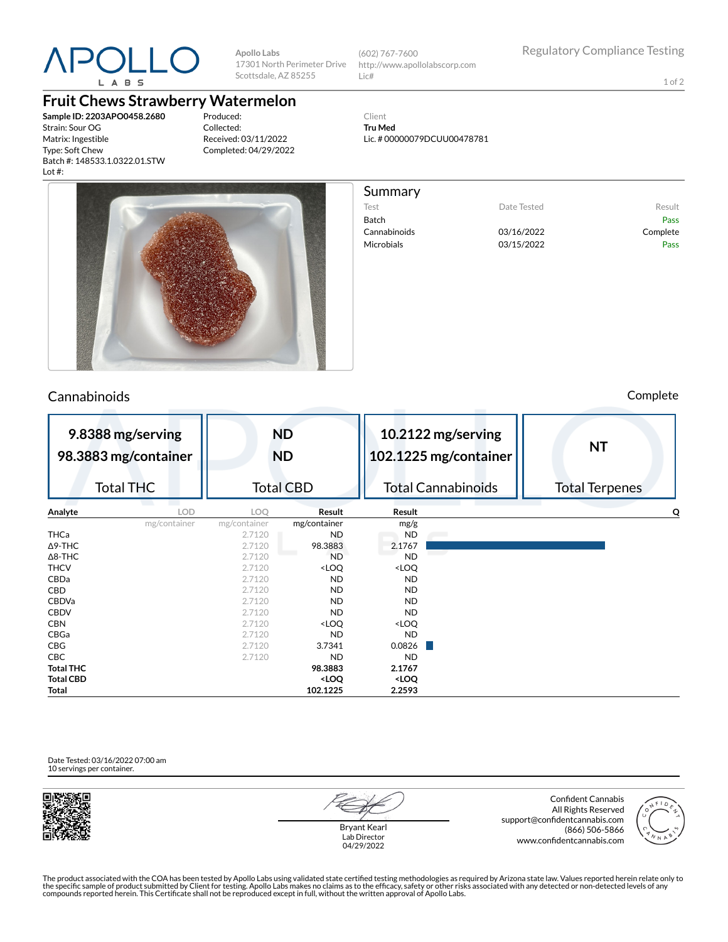

**Apollo Labs** 17301 North Perimeter Drive Scottsdale, AZ 85255

(602) 767-7600 http://www.apollolabscorp.com Lic#

Lic. # 00000079DCUU00478781

Test **Date Tested** Result Batch Pass Cannabinoids 03/16/2022 Complete Microbials 03/15/2022 Pass

Client **Tru Med**

Summary

1 of 2

## **Fruit Chews Strawberry Watermelon**

**Sample ID: 2203APO0458.2680** Strain: Sour OG Matrix: Ingestible Type: Soft Chew Batch #: 148533.1.0322.01.STW Lot #:

Produced: Collected: Received: 03/11/2022 Completed: 04/29/2022



## Cannabinoids Complete

| 9.8388 mg/serving<br>98.3883 mg/container<br><b>Total THC</b> | <b>ND</b><br><b>ND</b><br><b>Total CBD</b> |                                                                   | 10.2122 mg/serving<br>102.1225 mg/container<br><b>Total Cannabinoids</b> |  | <b>NT</b><br><b>Total Terpenes</b> |  |
|---------------------------------------------------------------|--------------------------------------------|-------------------------------------------------------------------|--------------------------------------------------------------------------|--|------------------------------------|--|
|                                                               |                                            |                                                                   |                                                                          |  |                                    |  |
| LOD.<br>Analyte                                               | LOQ                                        | Result                                                            | Result                                                                   |  | Q                                  |  |
| mg/container                                                  | mg/container                               | mg/container                                                      | mg/g                                                                     |  |                                    |  |
| <b>THCa</b>                                                   | 2.7120                                     | <b>ND</b>                                                         | <b>ND</b>                                                                |  |                                    |  |
| $\Delta$ 9-THC                                                | 2.7120                                     | 98.3883                                                           | 2.1767                                                                   |  |                                    |  |
| $\Delta$ 8-THC                                                | 2.7120                                     | <b>ND</b>                                                         | <b>ND</b>                                                                |  |                                    |  |
| <b>THCV</b>                                                   | 2.7120                                     | <loq< td=""><td><loq< td=""><td></td><td></td></loq<></td></loq<> | <loq< td=""><td></td><td></td></loq<>                                    |  |                                    |  |
| CBDa                                                          | 2.7120                                     | <b>ND</b>                                                         | <b>ND</b>                                                                |  |                                    |  |
| CBD                                                           | 2.7120                                     | ND.                                                               | <b>ND</b>                                                                |  |                                    |  |
| <b>CBDVa</b>                                                  | 2.7120                                     | <b>ND</b>                                                         | <b>ND</b>                                                                |  |                                    |  |
| <b>CBDV</b>                                                   | 2.7120                                     | <b>ND</b>                                                         | <b>ND</b>                                                                |  |                                    |  |
| <b>CBN</b>                                                    | 2.7120                                     | <loq< td=""><td><loq< td=""><td></td><td></td></loq<></td></loq<> | <loq< td=""><td></td><td></td></loq<>                                    |  |                                    |  |
| CBGa                                                          | 2.7120                                     | <b>ND</b>                                                         | <b>ND</b>                                                                |  |                                    |  |
| <b>CBG</b>                                                    | 2.7120                                     | 3.7341                                                            | 0.0826                                                                   |  |                                    |  |
| CBC                                                           | 2.7120                                     | <b>ND</b>                                                         | <b>ND</b>                                                                |  |                                    |  |
| <b>Total THC</b>                                              |                                            | 98.3883                                                           | 2.1767                                                                   |  |                                    |  |
| <b>Total CBD</b>                                              |                                            | <loq< td=""><td><loq< td=""><td></td><td></td></loq<></td></loq<> | <loq< td=""><td></td><td></td></loq<>                                    |  |                                    |  |
| Total                                                         |                                            | 102.1225                                                          | 2.2593                                                                   |  |                                    |  |

Date Tested: 03/16/2022 07:00 am 10 servings per container.



Bryant Kearl Lab Director 04/29/2022

Confident Cannabis All Rights Reserved support@confidentcannabis.com (866) 506-5866 www.confidentcannabis.com



The product associated with the COA has been tested by Apollo Labs using validated state certified testing methodologies as required by Arizona state law. Values reported herein relate only to<br>the specific sample of produc